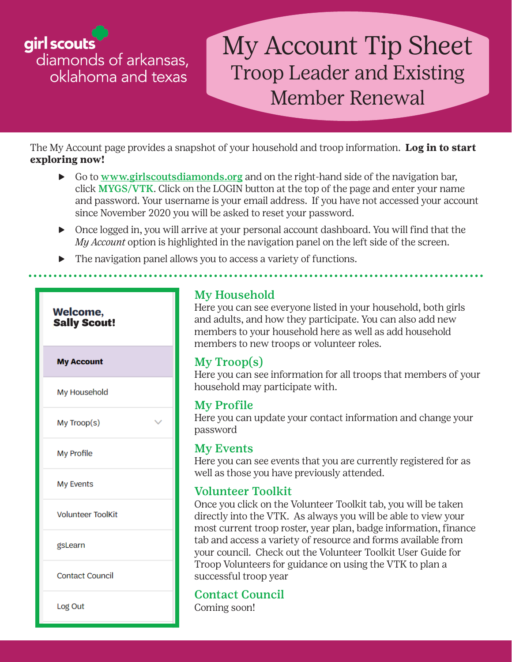girl scouts diamonds of arkansas, oklahoma and texas

# My Account Tip Sheet Troop Leader and Existing Member Renewal

The My Account page provides a snapshot of your household and troop information. **Log in to start exploring now!**

- ▶ Go to [www.girlscoutsdiamonds.org](http://www.girlscoutsdiamonds.org) and on the right-hand side of the navigation bar, click MYGS/VTK. Click on the LOGIN button at the top of the page and enter your name and password. Your username is your email address. If you have not accessed your account since November 2020 you will be asked to reset your password.
- ▶ Once logged in, you will arrive at your personal account dashboard. You will find that the *My Account* option is highlighted in the navigation panel on the left side of the screen.
- ▶ The navigation panel allows you to access a variety of functions.



## My Household

Here you can see everyone listed in your household, both girls and adults, and how they participate. You can also add new members to your household here as well as add household members to new troops or volunteer roles.

## My Troop(s)

Here you can see information for all troops that members of your household may participate with.

## My Profile

Here you can update your contact information and change your password

### My Events

Here you can see events that you are currently registered for as well as those you have previously attended.

## Volunteer Toolkit

Once you click on the Volunteer Toolkit tab, you will be taken directly into the VTK. As always you will be able to view your most current troop roster, year plan, badge information, finance tab and access a variety of resource and forms available from your council. Check out the Volunteer Toolkit User Guide for Troop Volunteers for guidance on using the VTK to plan a successful troop year

## Contact Council

Coming soon!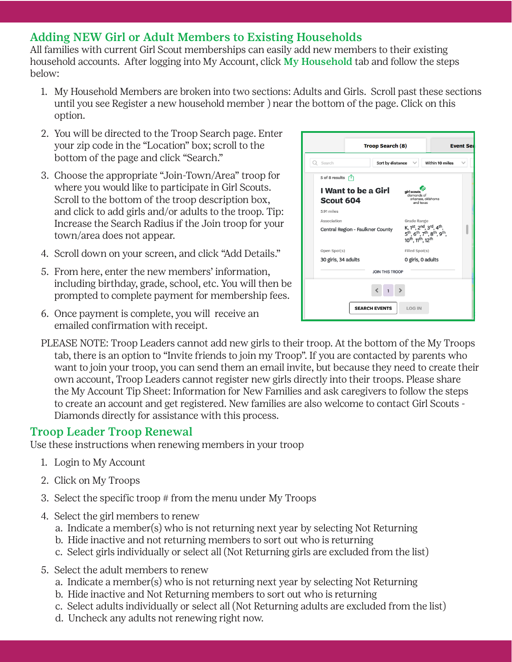## Adding NEW Girl or Adult Members to Existing Households

All families with current Girl Scout memberships can easily add new members to their existing household accounts. After logging into My Account, click My Household tab and follow the steps below:

- 1. My Household Members are broken into two sections: Adults and Girls. Scroll past these sections until you see Register a new household member ) near the bottom of the page. Click on this option.
- 2. You will be directed to the Troop Search page. Enter your zip code in the "Location" box; scroll to the bottom of the page and click "Search."
- 3. Choose the appropriate "Join-Town/Area" troop for where you would like to participate in Girl Scouts. Scroll to the bottom of the troop description box, and click to add girls and/or adults to the troop. Tip: Increase the Search Radius if the Join troop for your town/area does not appear.
- 4. Scroll down on your screen, and click "Add Details."
- 5. From here, enter the new members' information, including birthday, grade, school, etc. You will then be prompted to complete payment for membership fees.
- 6. Once payment is complete, you will receive an emailed confirmation with receipt.



PLEASE NOTE: Troop Leaders cannot add new girls to their troop. At the bottom of the My Troops tab, there is an option to "Invite friends to join my Troop". If you are contacted by parents who want to join your troop, you can send them an email invite, but because they need to create their own account, Troop Leaders cannot register new girls directly into their troops. Please share the My Account Tip Sheet: Information for New Families and ask caregivers to follow the steps to create an account and get registered. New families are also welcome to contact Girl Scouts - Diamonds directly for assistance with this process.

### Troop Leader Troop Renewal

Use these instructions when renewing members in your troop

- 1. Login to My Account
- 2. Click on My Troops
- 3. Select the specific troop # from the menu under My Troops
- 4. Select the girl members to renew
	- a. Indicate a member(s) who is not returning next year by selecting Not Returning
	- b. Hide inactive and not returning members to sort out who is returning
	- c. Select girls individually or select all (Not Returning girls are excluded from the list)
- 5. Select the adult members to renew
	- a. Indicate a member(s) who is not returning next year by selecting Not Returning
	- b. Hide inactive and Not Returning members to sort out who is returning
	- c. Select adults individually or select all (Not Returning adults are excluded from the list)
	- d. Uncheck any adults not renewing right now.